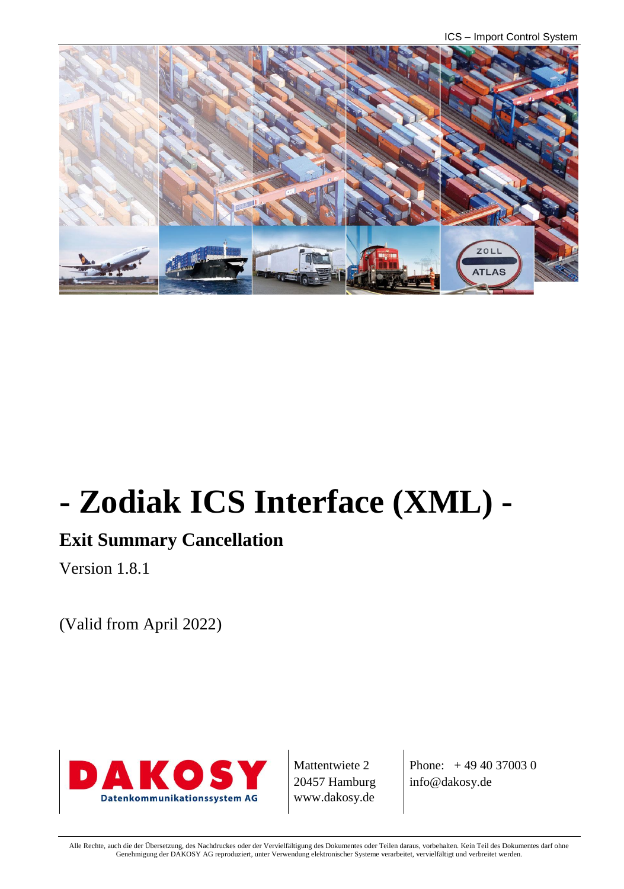ICS – Import Control System



# **- Zodiak ICS Interface (XML) -**

# **Exit Summary Cancellation**

Version 1.8.1

(Valid from April 2022)



Mattentwiete 2 20457 Hamburg www.dakosy.de

Phone: + 49 40 37003 0 info@dakosy.de

Alle Rechte, auch die der Übersetzung, des Nachdruckes oder der Vervielfältigung des Dokumentes oder Teilen daraus, vorbehalten. Kein Teil des Dokumentes darf ohne Genehmigung der DAKOSY AG reproduziert, unter Verwendung elektronischer Systeme verarbeitet, vervielfältigt und verbreitet werden.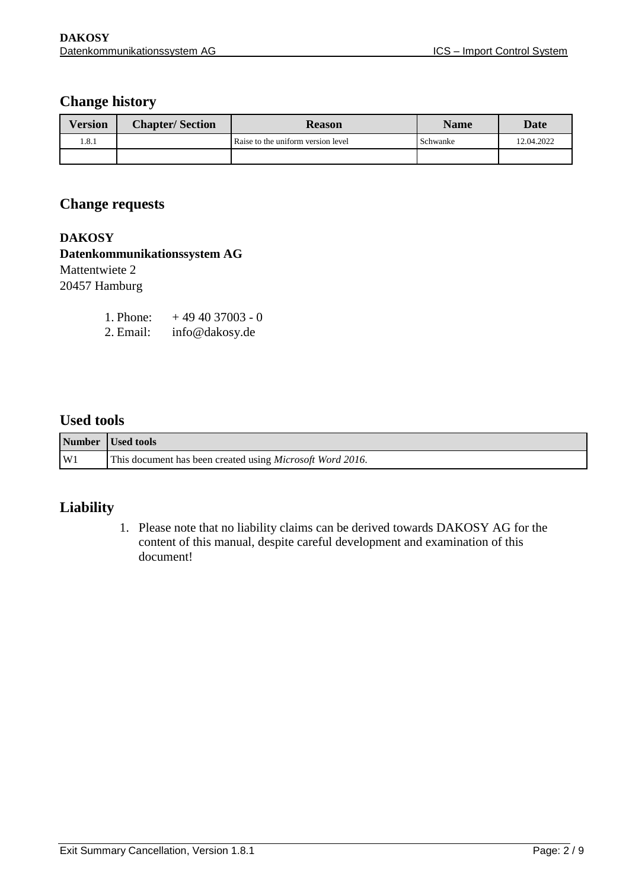#### **Change history**

| <b>Version</b> | <b>Chapter/Section</b> | <b>Reason</b>                      | <b>Name</b> | Date       |
|----------------|------------------------|------------------------------------|-------------|------------|
| l.8.1          |                        | Raise to the uniform version level | Schwanke    | 12.04.2022 |
|                |                        |                                    |             |            |

#### **Change requests**

**DAKOSY Datenkommunikationssystem AG**  Mattentwiete 2 20457 Hamburg

| 1. Phone: | $+494037003 - 0$ |
|-----------|------------------|
| 2. Email: | info@dakosy.de   |

#### **Used tools**

|    | Number Used tools                                                 |
|----|-------------------------------------------------------------------|
| W1 | This document has been created using <i>Microsoft Word 2016</i> . |

#### **Liability**

1. Please note that no liability claims can be derived towards DAKOSY AG for the content of this manual, despite careful development and examination of this document!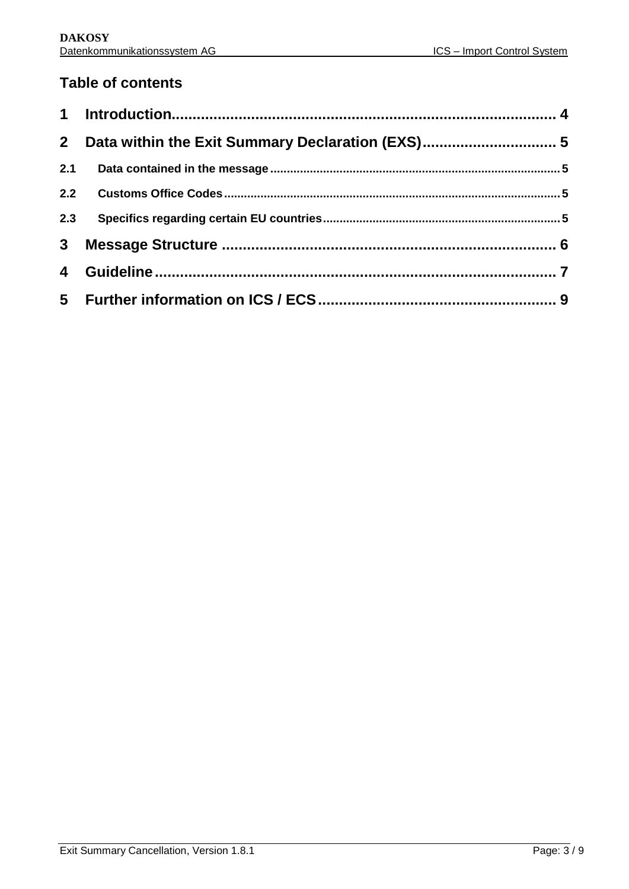## **Table of contents**

| 2 <sup>1</sup> | Data within the Exit Summary Declaration (EXS) 5 |  |
|----------------|--------------------------------------------------|--|
| 2.1            |                                                  |  |
| 2.2            |                                                  |  |
| 2.3            |                                                  |  |
| 3 <sup>1</sup> |                                                  |  |
| 4              |                                                  |  |
|                |                                                  |  |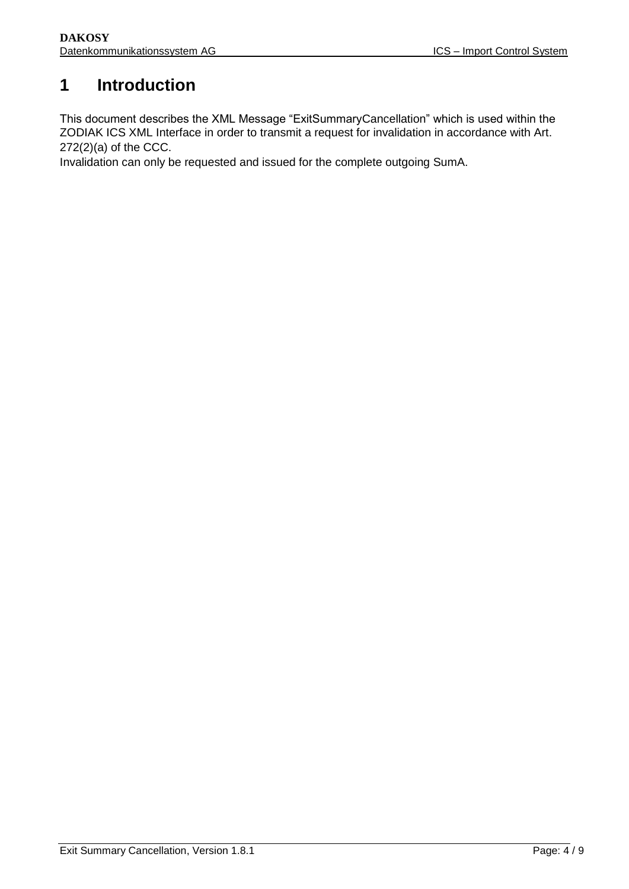## <span id="page-3-0"></span>**1 Introduction**

This document describes the XML Message "ExitSummaryCancellation" which is used within the ZODIAK ICS XML Interface in order to transmit a request for invalidation in accordance with Art. 272(2)(a) of the CCC.

Invalidation can only be requested and issued for the complete outgoing SumA.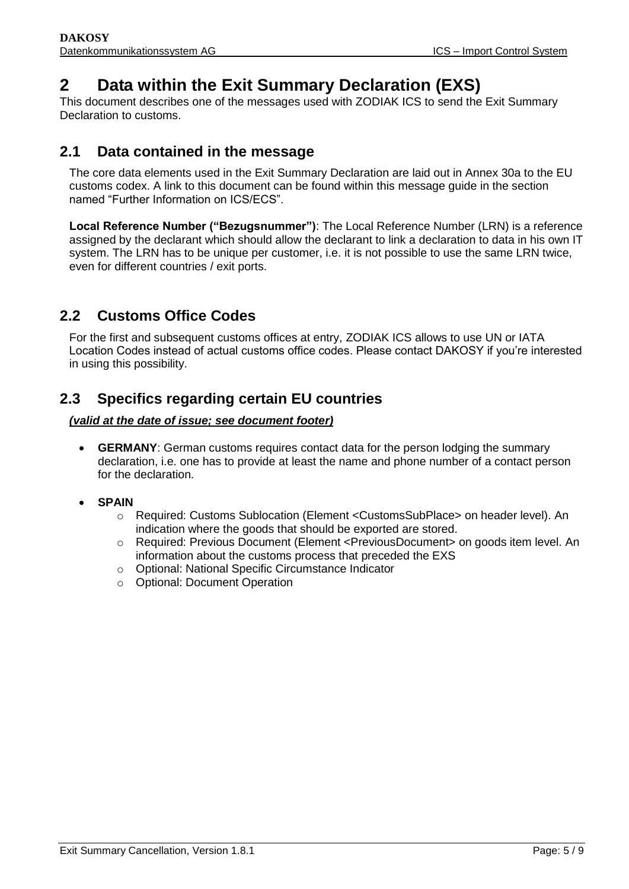## <span id="page-4-0"></span>**2 Data within the Exit Summary Declaration (EXS)**

This document describes one of the messages used with ZODIAK ICS to send the Exit Summary Declaration to customs.

### <span id="page-4-1"></span>**2.1 Data contained in the message**

The core data elements used in the Exit Summary Declaration are laid out in Annex 30a to the EU customs codex. A link to this document can be found within this message guide in the section named "Further Information on ICS/ECS".

**Local Reference Number ("Bezugsnummer")**: The Local Reference Number (LRN) is a reference assigned by the declarant which should allow the declarant to link a declaration to data in his own IT system. The LRN has to be unique per customer, i.e. it is not possible to use the same LRN twice, even for different countries / exit ports.

## <span id="page-4-2"></span>**2.2 Customs Office Codes**

For the first and subsequent customs offices at entry, ZODIAK ICS allows to use UN or IATA Location Codes instead of actual customs office codes. Please contact DAKOSY if you're interested in using this possibility.

## <span id="page-4-3"></span>**2.3 Specifics regarding certain EU countries**

#### *(valid at the date of issue; see document footer)*

- **GERMANY**: German customs requires contact data for the person lodging the summary declaration, i.e. one has to provide at least the name and phone number of a contact person for the declaration.
- **SPAIN**
	- o Required: Customs Sublocation (Element <CustomsSubPlace> on header level). An indication where the goods that should be exported are stored.
	- o Required: Previous Document (Element <PreviousDocument> on goods item level. An information about the customs process that preceded the EXS
	- o Optional: National Specific Circumstance Indicator
	- o Optional: Document Operation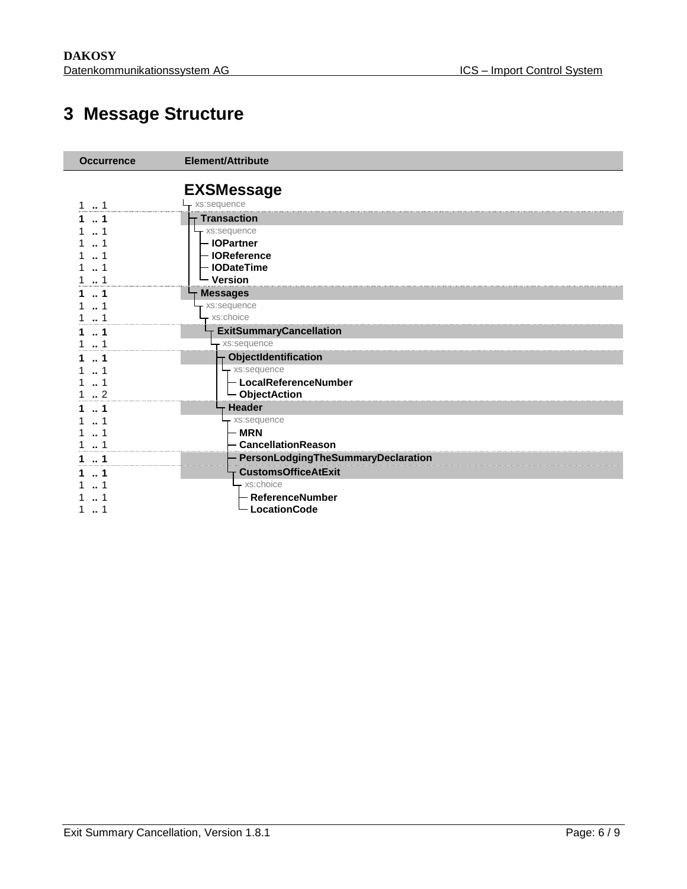# **Message Structure**

<span id="page-5-0"></span>

| <b>Occurrence</b> | Element/Attribute                  |
|-------------------|------------------------------------|
|                   | <b>EXSMessage</b>                  |
| 1                 | xs:sequence                        |
| 1                 | <b>Transaction</b>                 |
|                   | xs:sequence                        |
|                   | - IOPartner                        |
|                   | <b>IOReference</b>                 |
|                   | <b>IODateTime</b>                  |
|                   | <b>Version</b>                     |
|                   | <b>Messages</b>                    |
|                   | xs:sequence                        |
|                   | xs:choice                          |
| 1                 | <b>ExitSummaryCancellation</b>     |
|                   | xs:sequence                        |
| -1                | ObjectIdentification               |
|                   | xs:sequence                        |
| -1                | - LocalReferenceNumber             |
| $\cdot$ 2         | └ ObjectAction                     |
|                   | <b>Header</b>                      |
|                   | xs:sequence                        |
|                   | <b>MRN</b>                         |
|                   | <b>CancellationReason</b>          |
| 1                 | PersonLodgingTheSummaryDeclaration |
| -1                | <b>CustomsOfficeAtExit</b>         |
|                   | $-$ xs:choice                      |
|                   | ReferenceNumber                    |
|                   | <b>LocationCode</b>                |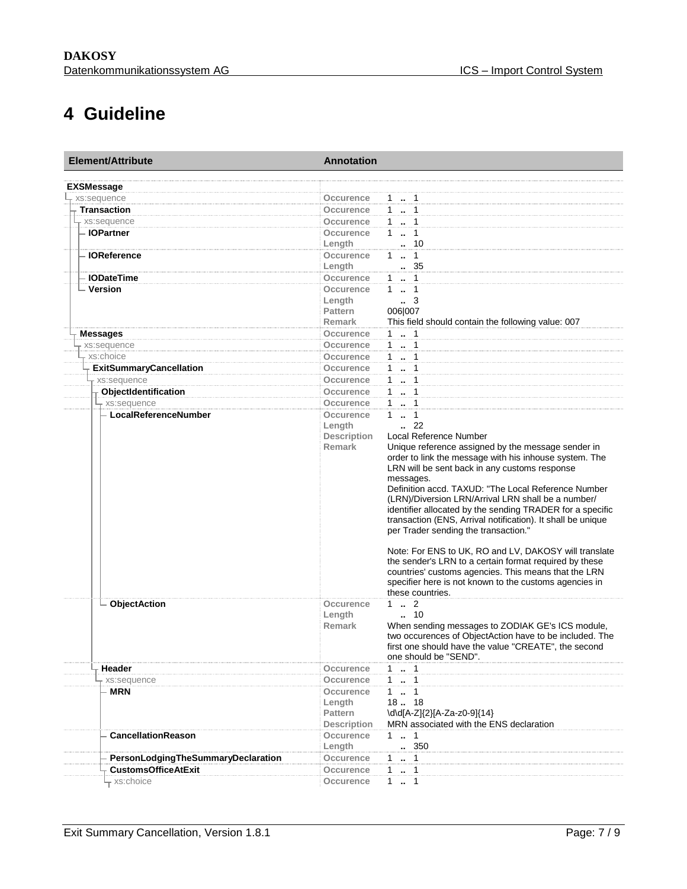## **4 Guideline**

<span id="page-6-0"></span>

| <b>Element/Attribute</b>           | <b>Annotation</b>  |                                                                                                                 |
|------------------------------------|--------------------|-----------------------------------------------------------------------------------------------------------------|
| <b>EXSMessage</b>                  |                    |                                                                                                                 |
| xs:sequence                        | Occurence          | $1 \t  \t 1$                                                                                                    |
| <b>Transaction</b>                 | <b>Occurence</b>   | 1  1                                                                                                            |
| xs:sequence                        | Occurence          | 11                                                                                                              |
| - IOPartner                        | Occurence          | $\mathbf{1}$<br>$\ldots$ 1                                                                                      |
|                                    | Length             | 10                                                                                                              |
| <b>IOReference</b>                 | <b>Occurence</b>   | $1 \t  \t 1$                                                                                                    |
|                                    | Length             | 35                                                                                                              |
| <b>IODateTime</b>                  | Occurence          | 1  1                                                                                                            |
| <b>Version</b>                     | Occurence          | $1 \t  \t 1$                                                                                                    |
|                                    | Length             | $\cdot$ 3                                                                                                       |
|                                    | <b>Pattern</b>     | 006 007                                                                                                         |
|                                    | <b>Remark</b>      | This field should contain the following value: 007                                                              |
| <b>Messages</b>                    | Occurence          | 1 . 1                                                                                                           |
| xs:sequence                        | <b>Occurence</b>   | 1  1                                                                                                            |
| xs:choice                          | Occurence          | 1  1                                                                                                            |
| <b>ExitSummaryCancellation</b>     | Occurence          | $1 \t  \t 1$                                                                                                    |
| - xs:sequence                      | <b>Occurence</b>   | 1  1                                                                                                            |
| ObjectIdentification               | <b>Occurence</b>   | 1  1                                                                                                            |
| xs:sequence                        | Occurence          | $1 -$<br>$\overline{1}$                                                                                         |
| LocalReferenceNumber               | Occurence          | $\mathbf{1}$<br>$\ldots$ 1                                                                                      |
|                                    | Length             | .22                                                                                                             |
|                                    | <b>Description</b> | Local Reference Number                                                                                          |
|                                    | <b>Remark</b>      | Unique reference assigned by the message sender in                                                              |
|                                    |                    | order to link the message with his inhouse system. The                                                          |
|                                    |                    | LRN will be sent back in any customs response                                                                   |
|                                    |                    | messages.<br>Definition accd. TAXUD: "The Local Reference Number                                                |
|                                    |                    | (LRN)/Diversion LRN/Arrival LRN shall be a number/                                                              |
|                                    |                    | identifier allocated by the sending TRADER for a specific                                                       |
|                                    |                    | transaction (ENS, Arrival notification). It shall be unique                                                     |
|                                    |                    | per Trader sending the transaction."                                                                            |
|                                    |                    |                                                                                                                 |
|                                    |                    | Note: For ENS to UK, RO and LV, DAKOSY will translate                                                           |
|                                    |                    | the sender's LRN to a certain format required by these                                                          |
|                                    |                    | countries' customs agencies. This means that the LRN                                                            |
|                                    |                    | specifier here is not known to the customs agencies in                                                          |
|                                    |                    | these countries.                                                                                                |
| <b>ObjectAction</b>                | Occurence          | $1 \t  \t 2$                                                                                                    |
|                                    | Length             | $\cdot$ 10                                                                                                      |
|                                    | <b>Remark</b>      | When sending messages to ZODIAK GE's ICS module,                                                                |
|                                    |                    | two occurences of ObjectAction have to be included. The<br>first one should have the value "CREATE", the second |
|                                    |                    | one should be "SEND"                                                                                            |
| Header                             | Occurence          | $1 \t  \t 1$                                                                                                    |
| - xs:sequence                      | Occurence          | $1 \t  \t 1$                                                                                                    |
| <b>MRN</b>                         | Occurence          |                                                                                                                 |
|                                    | Length             | 18. 18                                                                                                          |
|                                    | Pattern            | \d\d[A-Z]{2}[A-Za-z0-9]{14}                                                                                     |
|                                    | <b>Description</b> | MRN associated with the ENS declaration                                                                         |
| <b>CancellationReason</b>          | Occurence          | $1 \t  1$                                                                                                       |
|                                    | Length             | . 350                                                                                                           |
| PersonLodgingTheSummaryDeclaration | Occurence          | $\cdots$ 1                                                                                                      |
| <b>CustomsOfficeAtExit</b>         | Occurence          | $\mathbf{1}$<br>$\overline{1}$<br>$\ddot{\phantom{1}}$                                                          |
| -xs:choice                         | Occurence          | 1 . 1                                                                                                           |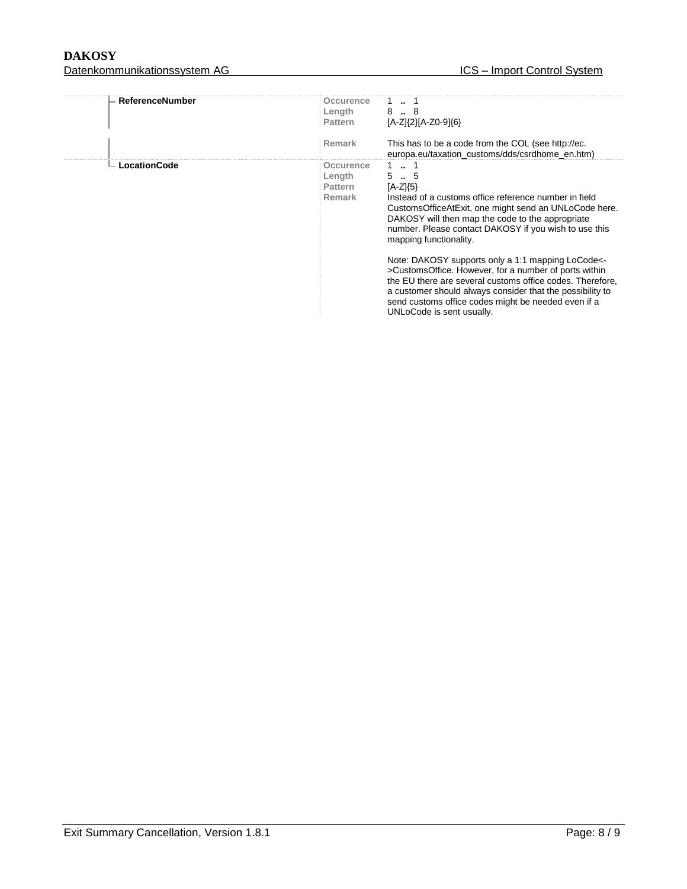#### DAKOSY<br>Datenkommunikationssystem AG <br>Datenkommunikationssystem AG <br>Datenkommunikationssystem AG <br>Datenkommunikationssystem AG <br>Datenkommunikationssystem AG <br>Datenkommunikationssystem AG <br>Datenkommunikationssystem AG <br>Daten Datenkommunikationssystem AG **ICS – IMPORT CONTROL SYSTEM** – IMPORTED THE CONTROL SYSTEM CONTROL SYSTEM CONTROL SYSTEM CONTROL SYSTEM CONTROL SYSTEM CONTROL SYSTEM CONTROL SYSTEM CONTROL SYSTEM CONTROL SYSTEM CONTROL SYSTE

| ReferenceNumber<br>Occurence<br>Length<br>8. 8<br>$[A-Z]\{2\}[A-Z0-9]\{6\}$<br><b>Pattern</b><br>Remark<br>This has to be a code from the COL (see http://ec.<br>europa.eu/taxation customs/dds/csrdhome en.htm)<br>1.1<br>LocationCode<br>Occurence<br>5.5<br>Length<br>$[A-Z15]$<br>Pattern<br>Remark<br>Instead of a customs office reference number in field<br>CustomsOfficeAtExit, one might send an UNLoCode here.<br>DAKOSY will then map the code to the appropriate<br>number. Please contact DAKOSY if you wish to use this<br>mapping functionality. |  |  |
|------------------------------------------------------------------------------------------------------------------------------------------------------------------------------------------------------------------------------------------------------------------------------------------------------------------------------------------------------------------------------------------------------------------------------------------------------------------------------------------------------------------------------------------------------------------|--|--|
|                                                                                                                                                                                                                                                                                                                                                                                                                                                                                                                                                                  |  |  |
|                                                                                                                                                                                                                                                                                                                                                                                                                                                                                                                                                                  |  |  |
| Note: DAKOSY supports only a 1:1 mapping LoCode<-<br>>CustomsOffice. However, for a number of ports within<br>the EU there are several customs office codes. Therefore,<br>a customer should always consider that the possibility to<br>send customs office codes might be needed even if a                                                                                                                                                                                                                                                                      |  |  |